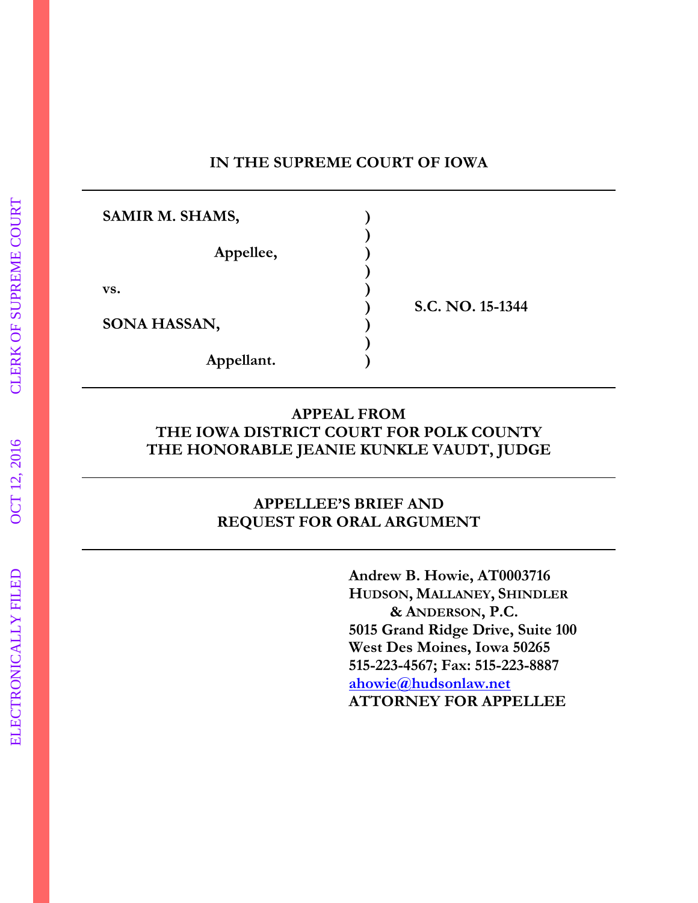#### **IN THE SUPREME COURT OF IOWA**

| SAMIR M. SHAMS, |                  |
|-----------------|------------------|
| Appellee,       |                  |
| VS.             |                  |
| SONA HASSAN,    | S.C. NO. 15-1344 |
| Appellant.      |                  |

#### **APPEAL FROM THE IOWA DISTRICT COURT FOR POLK COUNTY THE HONORABLE JEANIE KUNKLE VAUDT, JUDGE**

#### **APPELLEE'S BRIEF AND REQUEST FOR ORAL ARGUMENT**

**Andrew B. Howie, AT0003716 HUDSON, MALLANEY, SHINDLER & ANDERSON, P.C. 5015 Grand Ridge Drive, Suite 100 West Des Moines, Iowa 50265 515-223-4567; Fax: 515-223-8887 ahowie@hudsonlaw.net ATTORNEY FOR APPELLEE**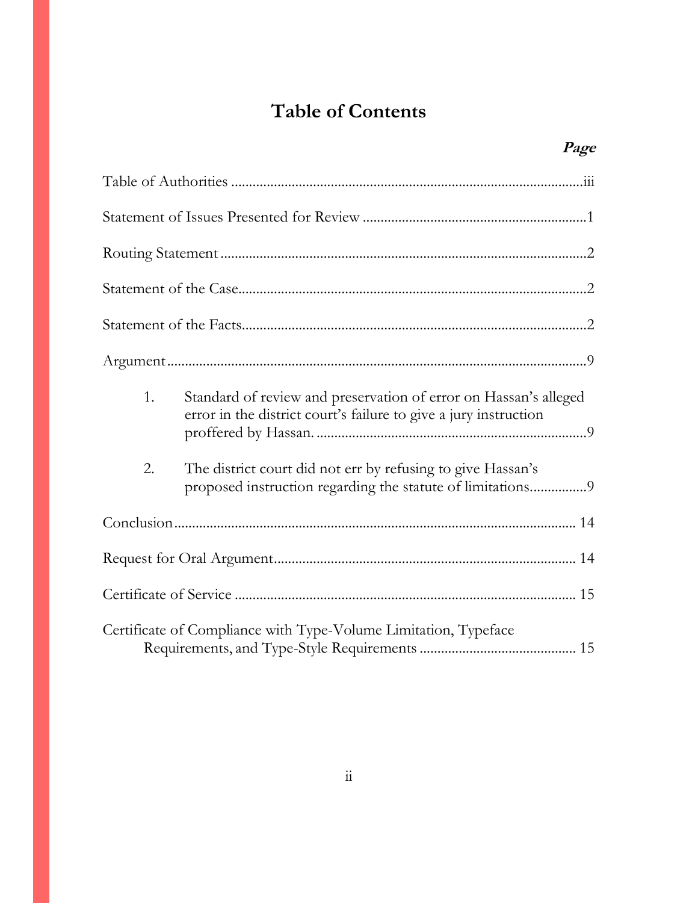# **Table of Contents**

|    | Page                                                                                                                                 |  |
|----|--------------------------------------------------------------------------------------------------------------------------------------|--|
|    |                                                                                                                                      |  |
|    |                                                                                                                                      |  |
|    |                                                                                                                                      |  |
|    |                                                                                                                                      |  |
|    |                                                                                                                                      |  |
|    |                                                                                                                                      |  |
| 1. | Standard of review and preservation of error on Hassan's alleged<br>error in the district court's failure to give a jury instruction |  |
| 2. | The district court did not err by refusing to give Hassan's<br>proposed instruction regarding the statute of limitations9            |  |
|    |                                                                                                                                      |  |
|    |                                                                                                                                      |  |
|    |                                                                                                                                      |  |
|    | Certificate of Compliance with Type-Volume Limitation, Typeface                                                                      |  |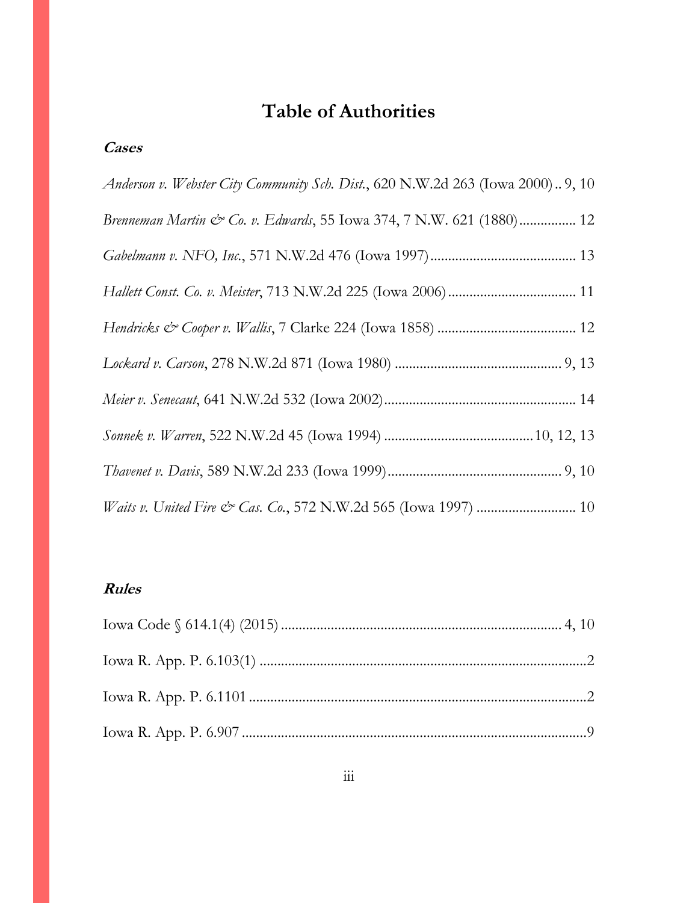# **Table of Authorities**

### <span id="page-2-0"></span>**Cases**

| Anderson v. Webster City Community Sch. Dist., 620 N.W.2d 263 (Iowa 2000) 9, 10 |
|---------------------------------------------------------------------------------|
| Brenneman Martin & Co. v. Edwards, 55 Iowa 374, 7 N.W. 621 (1880) 12            |
|                                                                                 |
|                                                                                 |
|                                                                                 |
|                                                                                 |
|                                                                                 |
|                                                                                 |
|                                                                                 |
|                                                                                 |

#### **Rules**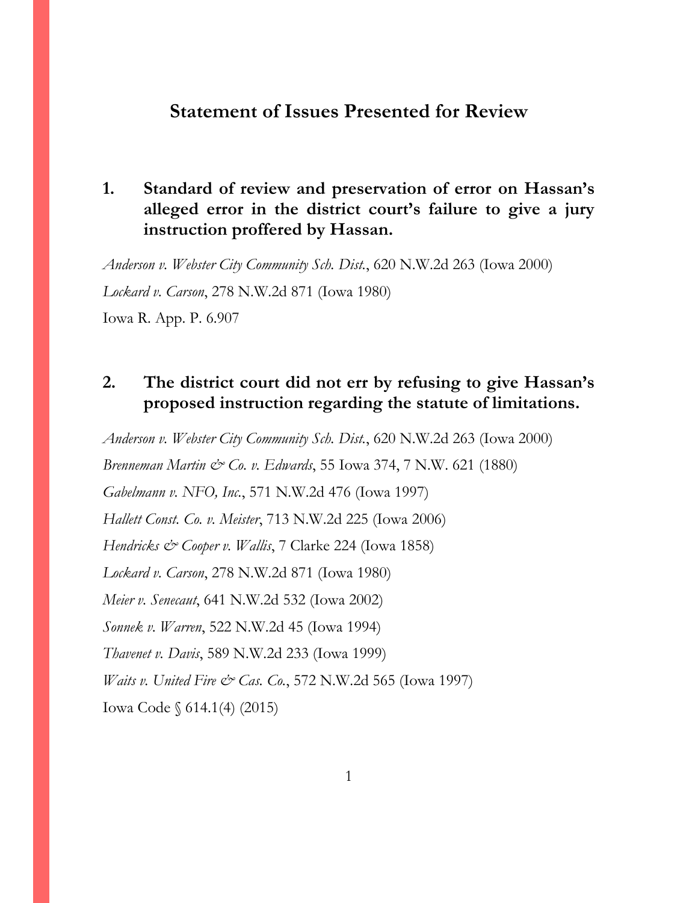#### <span id="page-3-0"></span>**Statement of Issues Presented for Review**

#### **1. Standard of review and preservation of error on Hassan's alleged error in the district court's failure to give a jury instruction proffered by Hassan.**

*Anderson v. Webster City Community Sch. Dist.*, 620 N.W.2d 263 (Iowa 2000) *Lockard v. Carson*, 278 N.W.2d 871 (Iowa 1980)

Iowa R. App. P. 6.907

### **2. The district court did not err by refusing to give Hassan's proposed instruction regarding the statute of limitations.**

*Anderson v. Webster City Community Sch. Dist.*, 620 N.W.2d 263 (Iowa 2000) *Brenneman Martin & Co. v. Edwards*, 55 Iowa 374, 7 N.W. 621 (1880) *Gabelmann v. NFO, Inc.*, 571 N.W.2d 476 (Iowa 1997) *Hallett Const. Co. v. Meister*, 713 N.W.2d 225 (Iowa 2006) *Hendricks & Cooper v. Wallis*, 7 Clarke 224 (Iowa 1858) *Lockard v. Carson*, 278 N.W.2d 871 (Iowa 1980) *Meier v. Senecaut*, 641 N.W.2d 532 (Iowa 2002) *Sonnek v. Warren*, 522 N.W.2d 45 (Iowa 1994) *Thavenet v. Davis*, 589 N.W.2d 233 (Iowa 1999) *Waits v. United Fire & Cas. Co.*, 572 N.W.2d 565 (Iowa 1997) Iowa Code § 614.1(4) (2015)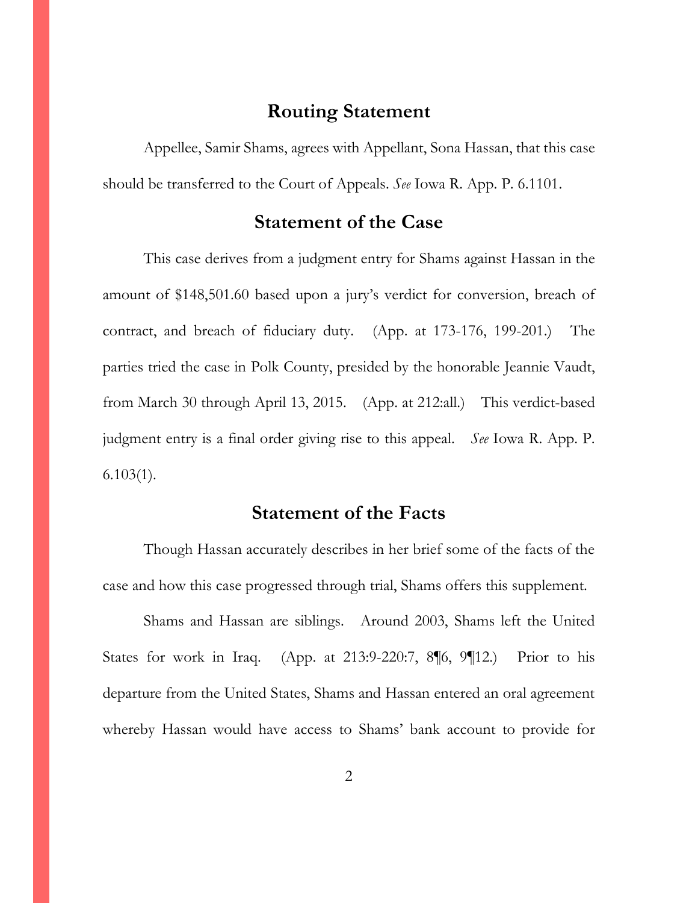#### **Routing Statement**

<span id="page-4-0"></span>Appellee, Samir Shams, agrees with Appellant, Sona Hassan, that this case should be transferred to the Court of Appeals. *See* Iowa R. App. P. 6.1101.

#### **Statement of the Case**

<span id="page-4-1"></span>This case derives from a judgment entry for Shams against Hassan in the amount of \$148,501.60 based upon a jury's verdict for conversion, breach of contract, and breach of fiduciary duty. (App. at 173-176, 199-201.) The parties tried the case in Polk County, presided by the honorable Jeannie Vaudt, from March 30 through April 13, 2015. (App. at 212:all.) This verdict-based judgment entry is a final order giving rise to this appeal. *See* Iowa R. App. P.  $6.103(1)$ .

#### **Statement of the Facts**

<span id="page-4-2"></span>Though Hassan accurately describes in her brief some of the facts of the case and how this case progressed through trial, Shams offers this supplement.

Shams and Hassan are siblings. Around 2003, Shams left the United States for work in Iraq. (App. at 213:9-220:7, 8¶6, 9¶12.) Prior to his departure from the United States, Shams and Hassan entered an oral agreement whereby Hassan would have access to Shams' bank account to provide for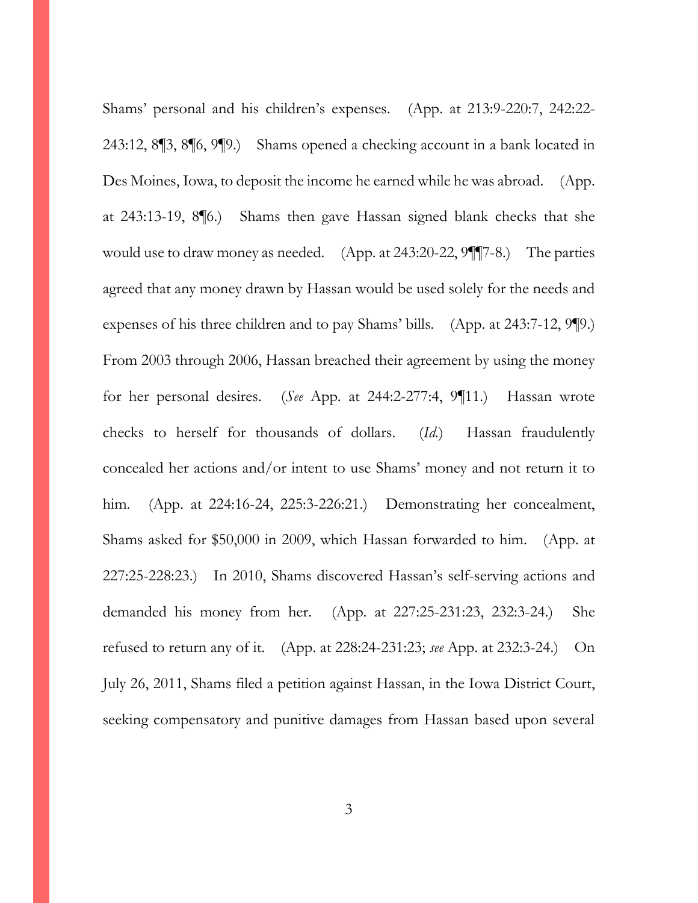Shams' personal and his children's expenses. (App. at 213:9-220:7, 242:22- 243:12, 8¶3, 8¶6, 9¶9.) Shams opened a checking account in a bank located in Des Moines, Iowa, to deposit the income he earned while he was abroad. (App. at 243:13-19, 8¶6.) Shams then gave Hassan signed blank checks that she would use to draw money as needed. (App. at 243:20-22, 9¶¶7-8.) The parties agreed that any money drawn by Hassan would be used solely for the needs and expenses of his three children and to pay Shams' bills. (App. at 243:7-12, 9¶9.) From 2003 through 2006, Hassan breached their agreement by using the money for her personal desires. (*See* App. at 244:2-277:4, 9¶11.) Hassan wrote checks to herself for thousands of dollars. (*Id.*) Hassan fraudulently concealed her actions and/or intent to use Shams' money and not return it to him. (App. at 224:16-24, 225:3-226:21.) Demonstrating her concealment, Shams asked for \$50,000 in 2009, which Hassan forwarded to him. (App. at 227:25-228:23.) In 2010, Shams discovered Hassan's self-serving actions and demanded his money from her. (App. at 227:25-231:23, 232:3-24.) She refused to return any of it. (App. at 228:24-231:23; *see* App. at 232:3-24.) On July 26, 2011, Shams filed a petition against Hassan, in the Iowa District Court, seeking compensatory and punitive damages from Hassan based upon several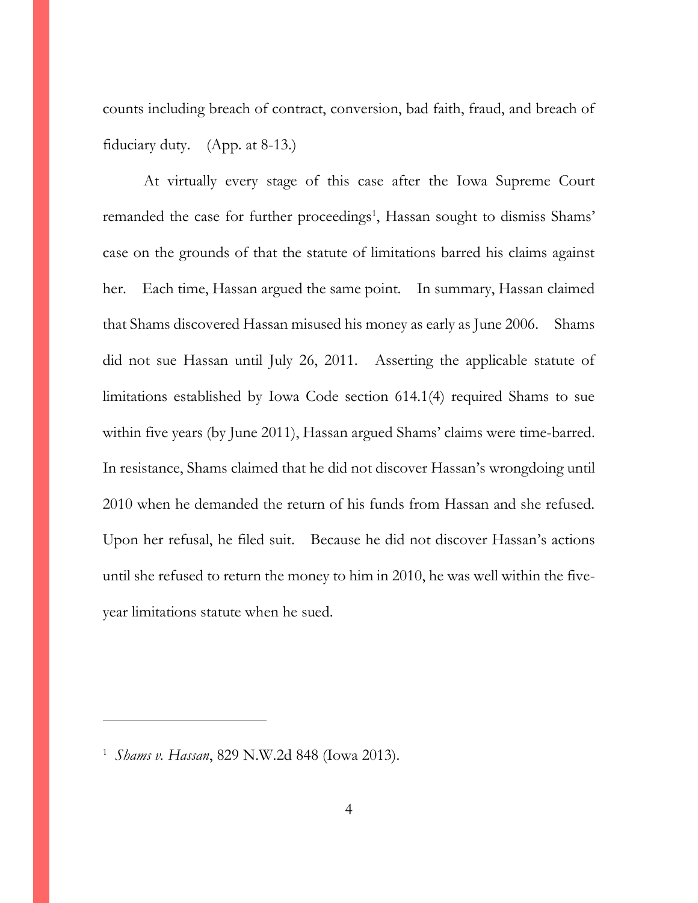counts including breach of contract, conversion, bad faith, fraud, and breach of fiduciary duty. (App. at 8-13.)

At virtually every stage of this case after the Iowa Supreme Court remanded the case for further proceedings<sup>1</sup>, Hassan sought to dismiss Shams' case on the grounds of that the statute of limitations barred his claims against her. Each time, Hassan argued the same point. In summary, Hassan claimed that Shams discovered Hassan misused his money as early as June 2006. Shams did not sue Hassan until July 26, 2011. Asserting the applicable statute of limitations established by Iowa Code section 614.1(4) required Shams to sue within five years (by June 2011), Hassan argued Shams' claims were time-barred. In resistance, Shams claimed that he did not discover Hassan's wrongdoing until 2010 when he demanded the return of his funds from Hassan and she refused. Upon her refusal, he filed suit. Because he did not discover Hassan's actions until she refused to return the money to him in 2010, he was well within the fiveyear limitations statute when he sued.

 $\overline{a}$ 

<sup>1</sup> *Shams v. Hassan*, 829 N.W.2d 848 (Iowa 2013).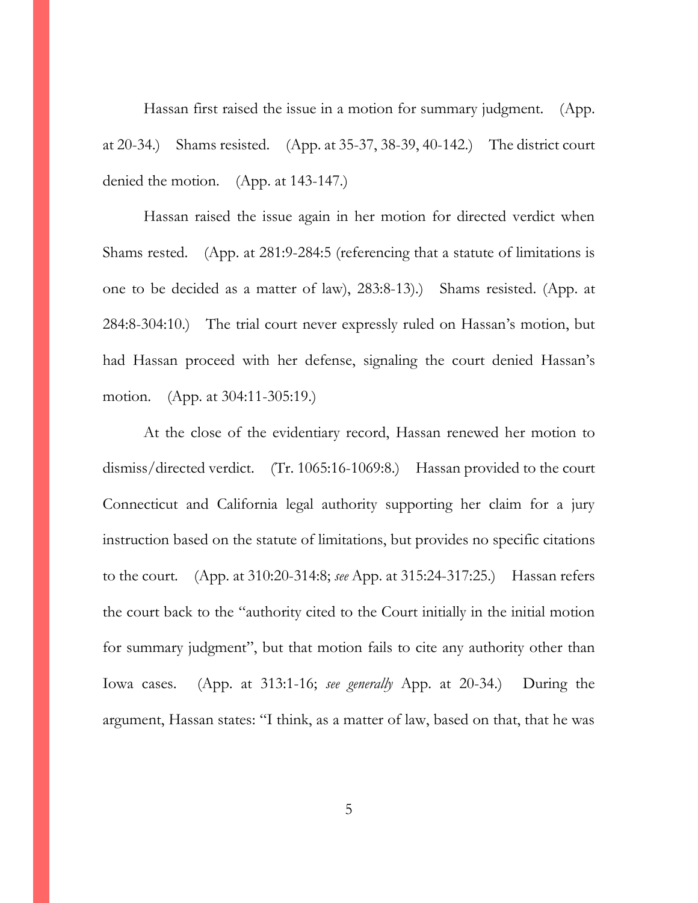Hassan first raised the issue in a motion for summary judgment. (App. at 20-34.) Shams resisted. (App. at 35-37, 38-39, 40-142.) The district court denied the motion. (App. at 143-147.)

Hassan raised the issue again in her motion for directed verdict when Shams rested. (App. at 281:9-284:5 (referencing that a statute of limitations is one to be decided as a matter of law), 283:8-13).) Shams resisted. (App. at 284:8-304:10.) The trial court never expressly ruled on Hassan's motion, but had Hassan proceed with her defense, signaling the court denied Hassan's motion. (App. at 304:11-305:19.)

At the close of the evidentiary record, Hassan renewed her motion to dismiss/directed verdict. (Tr. 1065:16-1069:8.) Hassan provided to the court Connecticut and California legal authority supporting her claim for a jury instruction based on the statute of limitations, but provides no specific citations to the court. (App. at 310:20-314:8; *see* App. at 315:24-317:25.) Hassan refers the court back to the "authority cited to the Court initially in the initial motion for summary judgment", but that motion fails to cite any authority other than Iowa cases. (App. at 313:1-16; *see generally* App. at 20-34.) During the argument, Hassan states: "I think, as a matter of law, based on that, that he was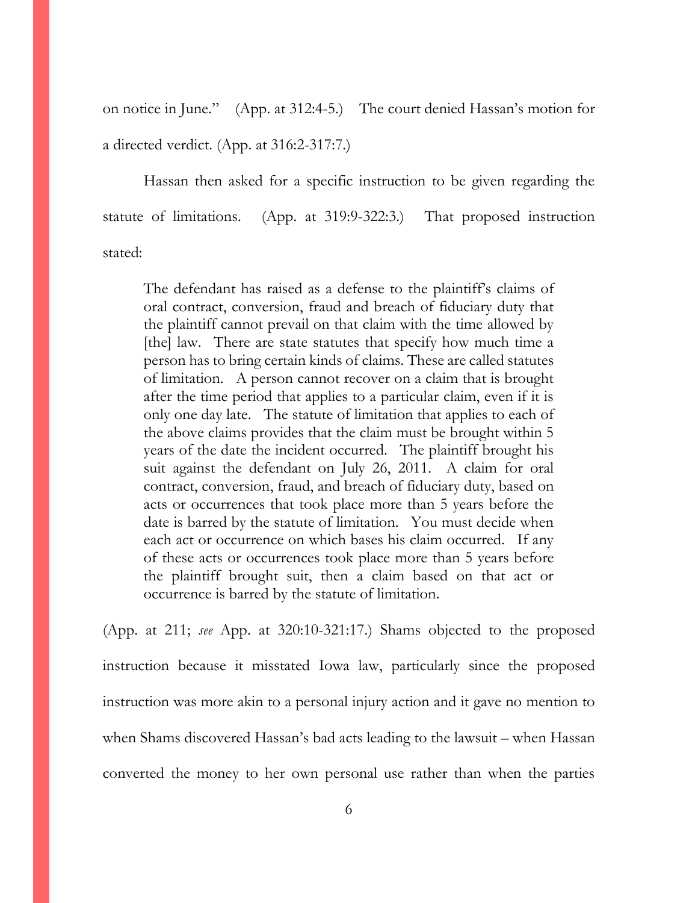on notice in June." (App. at 312:4-5.) The court denied Hassan's motion for a directed verdict. (App. at 316:2-317:7.)

Hassan then asked for a specific instruction to be given regarding the statute of limitations. (App. at 319:9-322:3.) That proposed instruction stated:

The defendant has raised as a defense to the plaintiff's claims of oral contract, conversion, fraud and breach of fiduciary duty that the plaintiff cannot prevail on that claim with the time allowed by [the] law. There are state statutes that specify how much time a person has to bring certain kinds of claims. These are called statutes of limitation. A person cannot recover on a claim that is brought after the time period that applies to a particular claim, even if it is only one day late. The statute of limitation that applies to each of the above claims provides that the claim must be brought within 5 years of the date the incident occurred. The plaintiff brought his suit against the defendant on July 26, 2011. A claim for oral contract, conversion, fraud, and breach of fiduciary duty, based on acts or occurrences that took place more than 5 years before the date is barred by the statute of limitation. You must decide when each act or occurrence on which bases his claim occurred. If any of these acts or occurrences took place more than 5 years before the plaintiff brought suit, then a claim based on that act or occurrence is barred by the statute of limitation.

(App. at 211; *see* App. at 320:10-321:17.) Shams objected to the proposed instruction because it misstated Iowa law, particularly since the proposed instruction was more akin to a personal injury action and it gave no mention to when Shams discovered Hassan's bad acts leading to the lawsuit – when Hassan converted the money to her own personal use rather than when the parties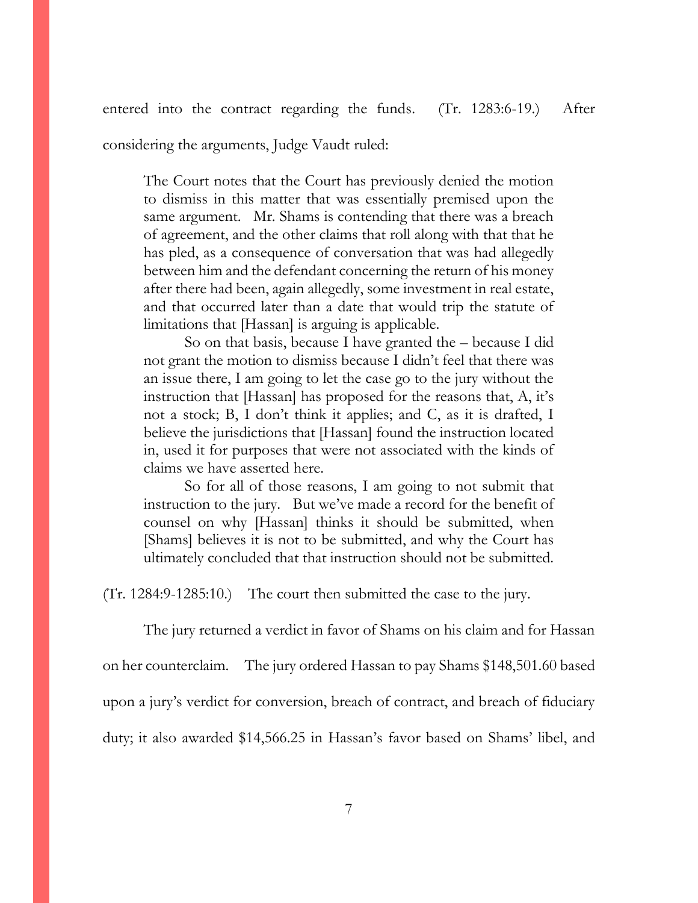entered into the contract regarding the funds. (Tr. 1283:6-19.) After

considering the arguments, Judge Vaudt ruled:

The Court notes that the Court has previously denied the motion to dismiss in this matter that was essentially premised upon the same argument. Mr. Shams is contending that there was a breach of agreement, and the other claims that roll along with that that he has pled, as a consequence of conversation that was had allegedly between him and the defendant concerning the return of his money after there had been, again allegedly, some investment in real estate, and that occurred later than a date that would trip the statute of limitations that [Hassan] is arguing is applicable.

So on that basis, because I have granted the – because I did not grant the motion to dismiss because I didn't feel that there was an issue there, I am going to let the case go to the jury without the instruction that [Hassan] has proposed for the reasons that, A, it's not a stock; B, I don't think it applies; and C, as it is drafted, I believe the jurisdictions that [Hassan] found the instruction located in, used it for purposes that were not associated with the kinds of claims we have asserted here.

So for all of those reasons, I am going to not submit that instruction to the jury. But we've made a record for the benefit of counsel on why [Hassan] thinks it should be submitted, when [Shams] believes it is not to be submitted, and why the Court has ultimately concluded that that instruction should not be submitted.

(Tr. 1284:9-1285:10.) The court then submitted the case to the jury.

The jury returned a verdict in favor of Shams on his claim and for Hassan

on her counterclaim. The jury ordered Hassan to pay Shams \$148,501.60 based

upon a jury's verdict for conversion, breach of contract, and breach of fiduciary

duty; it also awarded \$14,566.25 in Hassan's favor based on Shams' libel, and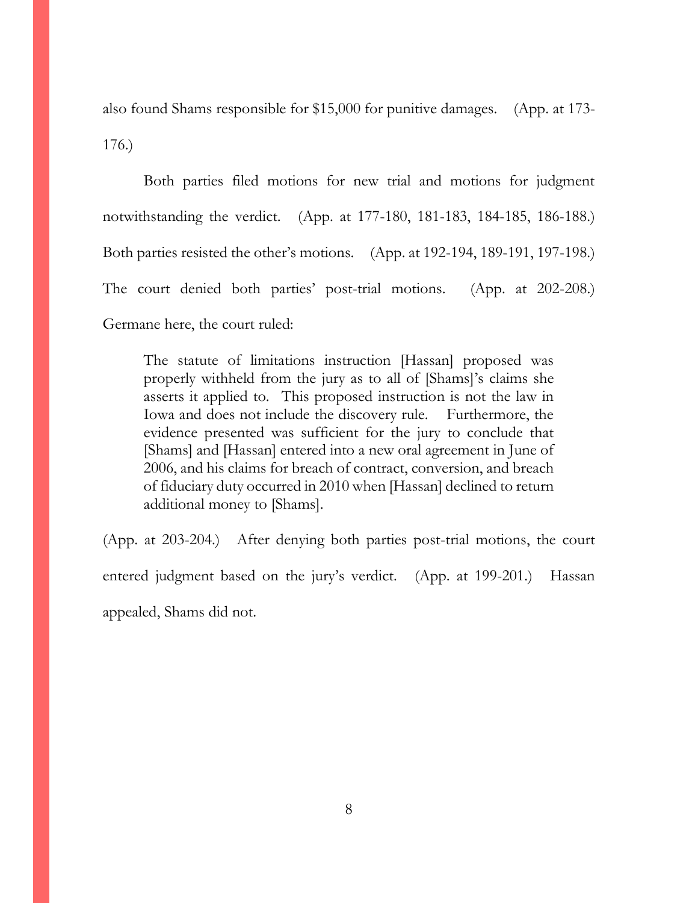also found Shams responsible for \$15,000 for punitive damages. (App. at 173- 176.)

Both parties filed motions for new trial and motions for judgment notwithstanding the verdict. (App. at 177-180, 181-183, 184-185, 186-188.) Both parties resisted the other's motions. (App. at 192-194, 189-191, 197-198.) The court denied both parties' post-trial motions. (App. at 202-208.) Germane here, the court ruled:

The statute of limitations instruction [Hassan] proposed was properly withheld from the jury as to all of [Shams]'s claims she asserts it applied to. This proposed instruction is not the law in Iowa and does not include the discovery rule. Furthermore, the evidence presented was sufficient for the jury to conclude that [Shams] and [Hassan] entered into a new oral agreement in June of 2006, and his claims for breach of contract, conversion, and breach of fiduciary duty occurred in 2010 when [Hassan] declined to return additional money to [Shams].

(App. at 203-204.) After denying both parties post-trial motions, the court entered judgment based on the jury's verdict. (App. at 199-201.) Hassan appealed, Shams did not.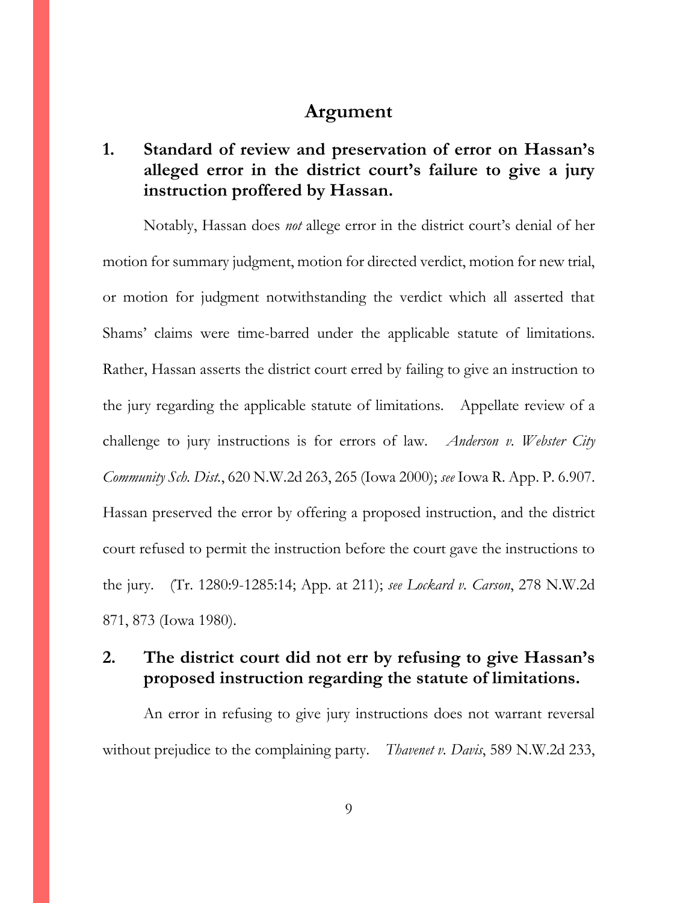#### **Argument**

## <span id="page-11-1"></span><span id="page-11-0"></span>**1. Standard of review and preservation of error on Hassan's alleged error in the district court's failure to give a jury instruction proffered by Hassan.**

Notably, Hassan does *not* allege error in the district court's denial of her motion for summary judgment, motion for directed verdict, motion for new trial, or motion for judgment notwithstanding the verdict which all asserted that Shams' claims were time-barred under the applicable statute of limitations. Rather, Hassan asserts the district court erred by failing to give an instruction to the jury regarding the applicable statute of limitations. Appellate review of a challenge to jury instructions is for errors of law. *Anderson v. Webster City Community Sch. Dist.*, 620 N.W.2d 263, 265 (Iowa 2000); *see* Iowa R. App. P. 6.907. Hassan preserved the error by offering a proposed instruction, and the district court refused to permit the instruction before the court gave the instructions to the jury. (Tr. 1280:9-1285:14; App. at 211); *see Lockard v. Carson*, 278 N.W.2d 871, 873 (Iowa 1980).

#### <span id="page-11-2"></span>**2. The district court did not err by refusing to give Hassan's proposed instruction regarding the statute of limitations.**

An error in refusing to give jury instructions does not warrant reversal without prejudice to the complaining party. *Thavenet v. Davis*, 589 N.W.2d 233,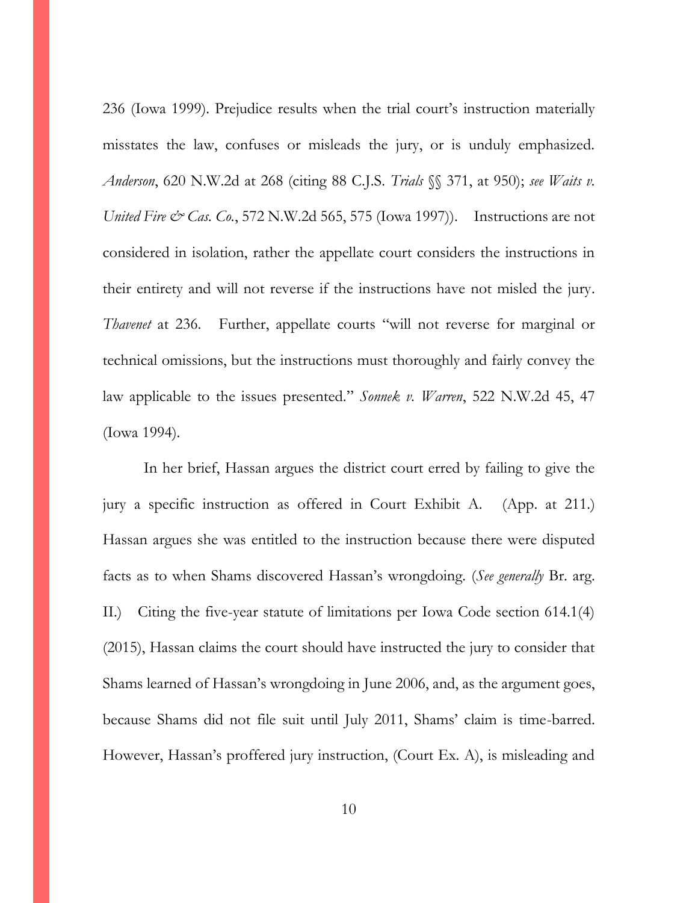236 (Iowa 1999). Prejudice results when the trial court's instruction materially misstates the law, confuses or misleads the jury, or is unduly emphasized. *Anderson*, 620 N.W.2d at 268 (citing 88 C.J.S. *Trials* §§ 371, at 950); *see Waits v. United Fire & Cas. Co.*, 572 N.W.2d 565, 575 (Iowa 1997)). Instructions are not considered in isolation, rather the appellate court considers the instructions in their entirety and will not reverse if the instructions have not misled the jury. *Thavenet* at 236. Further, appellate courts "will not reverse for marginal or technical omissions, but the instructions must thoroughly and fairly convey the law applicable to the issues presented." *Sonnek v. Warren*, 522 N.W.2d 45, 47 (Iowa 1994).

In her brief, Hassan argues the district court erred by failing to give the jury a specific instruction as offered in Court Exhibit A. (App. at 211.) Hassan argues she was entitled to the instruction because there were disputed facts as to when Shams discovered Hassan's wrongdoing. (*See generally* Br. arg. II.) Citing the five-year statute of limitations per Iowa Code section 614.1(4) (2015), Hassan claims the court should have instructed the jury to consider that Shams learned of Hassan's wrongdoing in June 2006, and, as the argument goes, because Shams did not file suit until July 2011, Shams' claim is time-barred. However, Hassan's proffered jury instruction, (Court Ex. A), is misleading and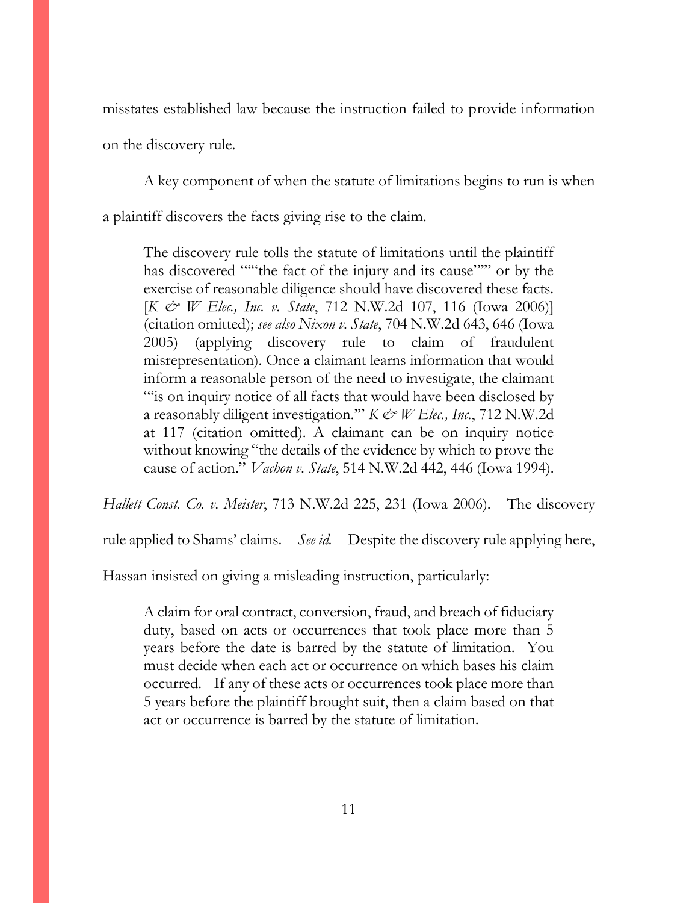misstates established law because the instruction failed to provide information

on the discovery rule.

A key component of when the statute of limitations begins to run is when

a plaintiff discovers the facts giving rise to the claim.

The discovery rule tolls the statute of limitations until the plaintiff has discovered ""the fact of the injury and its cause"" or by the exercise of reasonable diligence should have discovered these facts. [*K & W Elec., Inc. v. State*, 712 N.W.2d 107, 116 (Iowa 2006)] (citation omitted); *see also Nixon v. State*, 704 N.W.2d 643, 646 (Iowa 2005) (applying discovery rule to claim of fraudulent misrepresentation). Once a claimant learns information that would inform a reasonable person of the need to investigate, the claimant "is on inquiry notice of all facts that would have been disclosed by a reasonably diligent investigation.'" *K & W Elec., Inc.*, 712 N.W.2d at 117 (citation omitted). A claimant can be on inquiry notice without knowing "the details of the evidence by which to prove the cause of action." *Vachon v. State*, 514 N.W.2d 442, 446 (Iowa 1994).

*Hallett Const. Co. v. Meister*, 713 N.W.2d 225, 231 (Iowa 2006). The discovery

rule applied to Shams' claims. *See id.* Despite the discovery rule applying here,

Hassan insisted on giving a misleading instruction, particularly:

A claim for oral contract, conversion, fraud, and breach of fiduciary duty, based on acts or occurrences that took place more than 5 years before the date is barred by the statute of limitation. You must decide when each act or occurrence on which bases his claim occurred. If any of these acts or occurrences took place more than 5 years before the plaintiff brought suit, then a claim based on that act or occurrence is barred by the statute of limitation.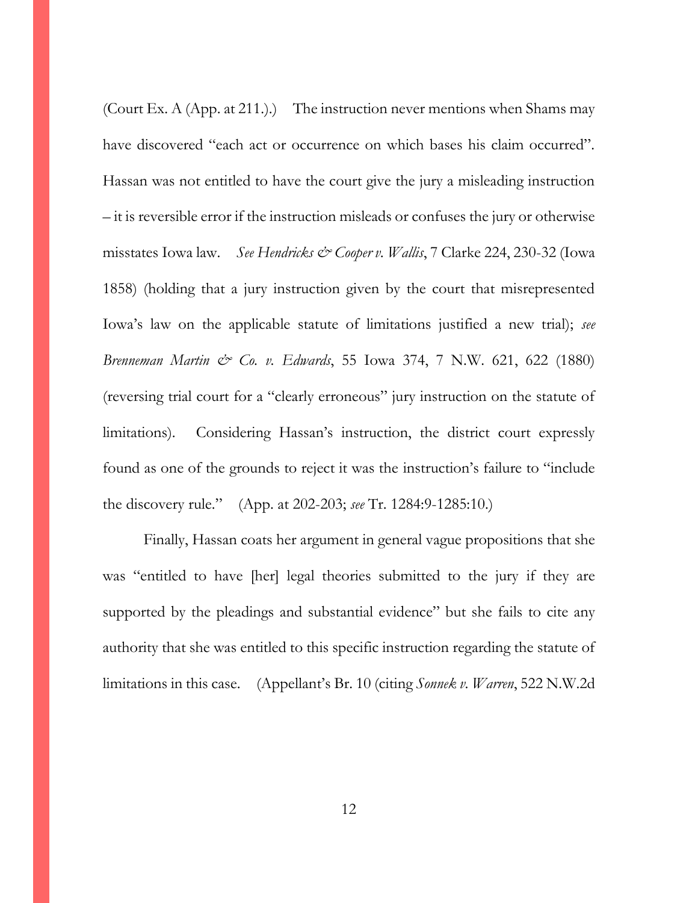(Court Ex. A (App. at 211.).) The instruction never mentions when Shams may have discovered "each act or occurrence on which bases his claim occurred". Hassan was not entitled to have the court give the jury a misleading instruction – it is reversible error if the instruction misleads or confuses the jury or otherwise misstates Iowa law. *See Hendricks & Cooper v. Wallis*, 7 Clarke 224, 230-32 (Iowa 1858) (holding that a jury instruction given by the court that misrepresented Iowa's law on the applicable statute of limitations justified a new trial); *see Brenneman Martin & Co. v. Edwards*, 55 Iowa 374, 7 N.W. 621, 622 (1880) (reversing trial court for a "clearly erroneous" jury instruction on the statute of limitations). Considering Hassan's instruction, the district court expressly found as one of the grounds to reject it was the instruction's failure to "include the discovery rule." (App. at 202-203; *see* Tr. 1284:9-1285:10.)

Finally, Hassan coats her argument in general vague propositions that she was "entitled to have [her] legal theories submitted to the jury if they are supported by the pleadings and substantial evidence" but she fails to cite any authority that she was entitled to this specific instruction regarding the statute of limitations in this case. (Appellant's Br. 10 (citing *Sonnek v. Warren*, 522 N.W.2d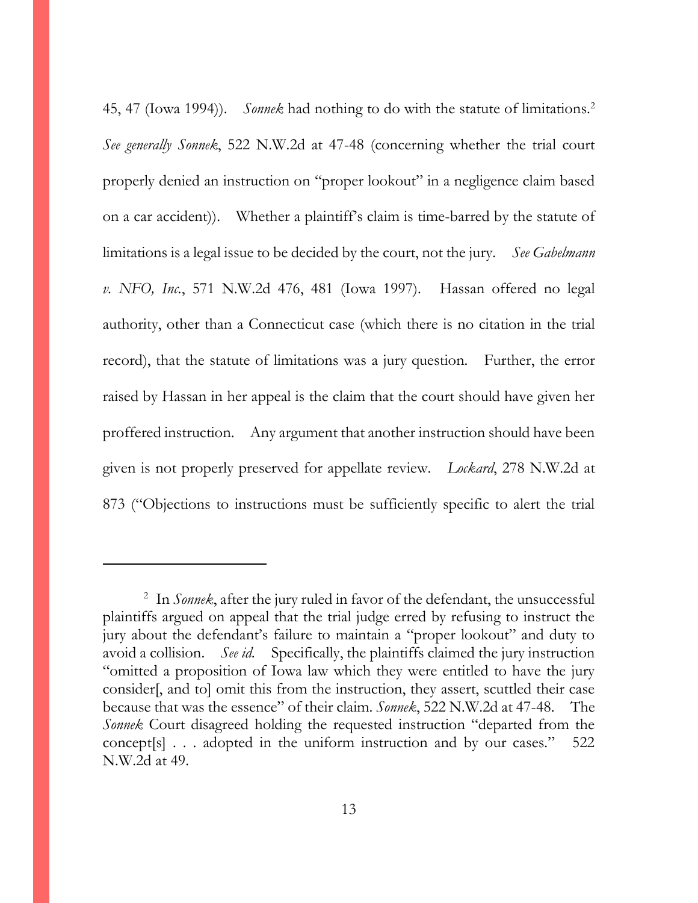45, 47 (Iowa 1994)). *Sonnek* had nothing to do with the statute of limitations.<sup>2</sup> *See generally Sonnek*, 522 N.W.2d at 47-48 (concerning whether the trial court properly denied an instruction on "proper lookout" in a negligence claim based on a car accident)). Whether a plaintiff's claim is time-barred by the statute of limitations is a legal issue to be decided by the court, not the jury. *See Gabelmann v. NFO, Inc.*, 571 N.W.2d 476, 481 (Iowa 1997). Hassan offered no legal authority, other than a Connecticut case (which there is no citation in the trial record), that the statute of limitations was a jury question. Further, the error raised by Hassan in her appeal is the claim that the court should have given her proffered instruction. Any argument that another instruction should have been given is not properly preserved for appellate review. *Lockard*, 278 N.W.2d at 873 ("Objections to instructions must be sufficiently specific to alert the trial

 $\overline{a}$ 

<sup>2</sup> In *Sonnek*, after the jury ruled in favor of the defendant, the unsuccessful plaintiffs argued on appeal that the trial judge erred by refusing to instruct the jury about the defendant's failure to maintain a "proper lookout" and duty to avoid a collision. *See id.* Specifically, the plaintiffs claimed the jury instruction "omitted a proposition of Iowa law which they were entitled to have the jury consider[, and to] omit this from the instruction, they assert, scuttled their case because that was the essence" of their claim. *Sonnek*, 522 N.W.2d at 47-48. The *Sonnek* Court disagreed holding the requested instruction "departed from the concept[s] . . . adopted in the uniform instruction and by our cases." 522 N.W.2d at 49.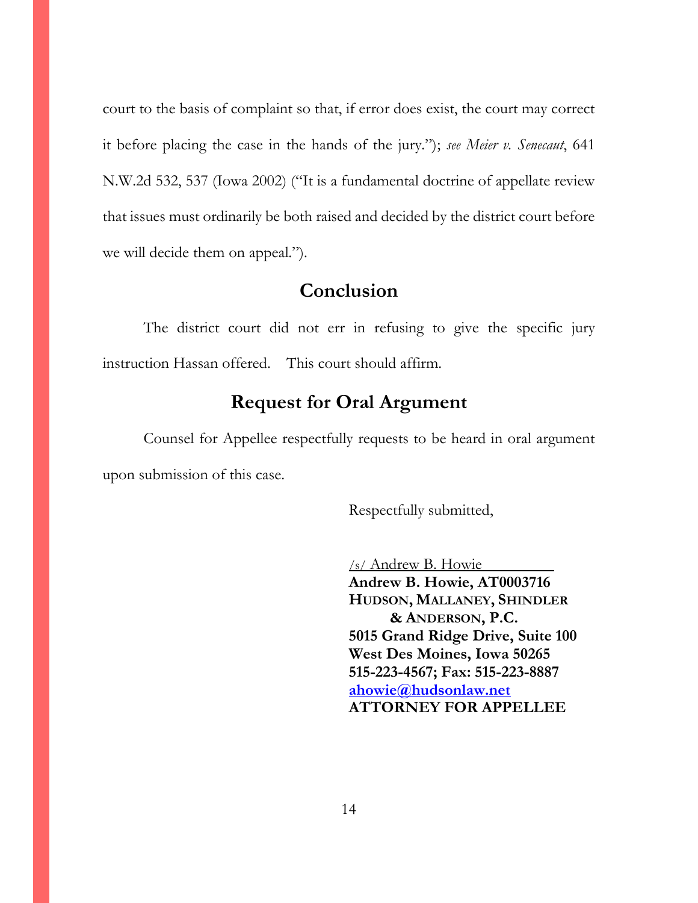court to the basis of complaint so that, if error does exist, the court may correct it before placing the case in the hands of the jury."); *see Meier v. Senecaut*, 641 N.W.2d 532, 537 (Iowa 2002) ("It is a fundamental doctrine of appellate review that issues must ordinarily be both raised and decided by the district court before we will decide them on appeal.").

## **Conclusion**

<span id="page-16-0"></span>The district court did not err in refusing to give the specific jury instruction Hassan offered. This court should affirm.

### **Request for Oral Argument**

<span id="page-16-1"></span>Counsel for Appellee respectfully requests to be heard in oral argument upon submission of this case.

Respectfully submitted,

/s/ Andrew B. Howie **Andrew B. Howie, AT0003716 HUDSON, MALLANEY, SHINDLER & ANDERSON, P.C. 5015 Grand Ridge Drive, Suite 100 West Des Moines, Iowa 50265 515-223-4567; Fax: 515-223-8887 ahowie@hudsonlaw.net ATTORNEY FOR APPELLEE**